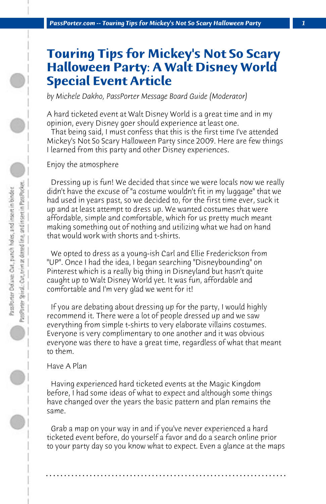## **Touring Tips for Mickey's Not So Scary Halloween Party: A Walt Disney World Special Event Article**

*by Michele Dakho, PassPorter Message Board Guide (Moderator)*

A hard ticketed event at Walt Disney World is a great time and in my opinion, every Disney goer should experience at least one.

 That being said, I must confess that this is the first time I've attended Mickey's Not So Scary Halloween Party since 2009. Here are few things I learned from this party and other Disney experiences.

Enjoy the atmosphere

 Dressing up is fun! We decided that since we were locals now we really didn't have the excuse of "a costume wouldn't fit in my luggage" that we had used in years past, so we decided to, for the first time ever, suck it up and at least attempt to dress up. We wanted costumes that were affordable, simple and comfortable, which for us pretty much meant making something out of nothing and utilizing what we had on hand that would work with shorts and t-shirts.

 We opted to dress as a young-ish Carl and Ellie Frederickson from "UP". Once I had the idea, I began searching "Disneybounding" on Pinterest which is a really big thing in Disneyland but hasn't quite caught up to Walt Disney World yet. It was fun, affordable and comfortable and I'm very glad we went for it!

 If you are debating about dressing up for the party, I would highly recommend it. There were a lot of people dressed up and we saw everything from simple t-shirts to very elaborate villains costumes. Everyone is very complimentary to one another and it was obvious everyone was there to have a great time, regardless of what that meant to them.

## Have A Plan

 Having experienced hard ticketed events at the Magic Kingdom before, I had some ideas of what to expect and although some things have changed over the years the basic pattern and plan remains the same.

 Grab a map on your way in and if you've never experienced a hard ticketed event before, do yourself a favor and do a search online prior to your party day so you know what to expect. Even a glance at the maps

**. . . . . . . . . . . . . . . . . . . . . . . . . . . . . . . . . . . . . . . . . . . . . . . . . . . . . . . . . . . . . . . . . .**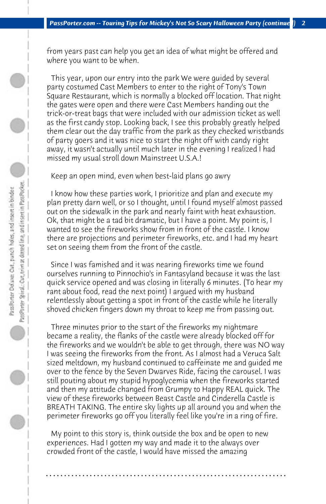from years past can help you get an idea of what might be offered and where you want to be when.

 This year, upon our entry into the park We were guided by several party costumed Cast Members to enter to the right of Tony's Town Square Restaurant, which is normally a blocked off location. That night the gates were open and there were Cast Members handing out the trick-or-treat bags that were included with our admission ticket as well as the first candy stop. Looking back, I see this probably greatly helped them clear out the day traffic from the park as they checked wristbands of party goers and it was nice to start the night off with candy right away, it wasn't actually until much later in the evening I realized I had missed my usual stroll down Mainstreet U.S.A.!

 Keep an open mind, even when best-laid plans go awry

 I know how these parties work, I prioritize and plan and execute my plan pretty darn well, or so I thought, until I found myself almost passed out on the sidewalk in the park and nearly faint with heat exhaustion. Ok, that might be a tad bit dramatic, but I have a point. My point is, I wanted to see the fireworks show from in front of the castle. I know there are projections and perimeter fireworks, etc. and I had my heart set on seeing them from the front of the castle.

 Since I was famished and it was nearing fireworks time we found ourselves running to Pinnochio's in Fantasyland because it was the last quick service opened and was closing in literally 6 minutes. (To hear my rant about food, read the next point) I argued with my husband relentlessly about getting a spot in front of the castle while he literally shoved chicken fingers down my throat to keep me from passing out.

 Three minutes prior to the start of the fireworks my nightmare became a reality, the flanks of the castle were already blocked off for the fireworks and we wouldn't be able to get through, there was NO way I was seeing the fireworks from the front. As I almost had a Veruca Salt sized meltdown, my husband continued to caffeinate me and guided me over to the fence by the Seven Dwarves Ride, facing the carousel. I was still pouting about my stupid hypoglycemia when the fireworks started and then my attitude changed from Grumpy to Happy REAL quick. The view of these fireworks between Beast Castle and Cinderella Castle is BREATH TAKING. The entire sky lights up all around you and when the perimeter fireworks go off you literally feel like you're in a ring of fire.

 My point to this story is, think outside the box and be open to new experiences. Had I gotten my way and made it to the always over crowded front of the castle, I would have missed the amazing

**. . . . . . . . . . . . . . . . . . . . . . . . . . . . . . . . . . . . . . . . . . . . . . . . . . . . . . . . . . . . . . . . . .**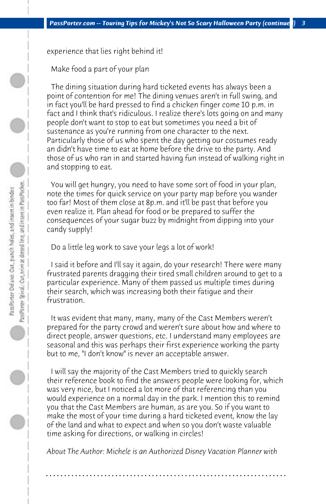experience that lies right behind it!

 Make food a part of your plan

 The dining situation during hard ticketed events has always been a point of contention for me! The dining venues aren't in full swing, and in fact you'll be hard pressed to find a chicken finger come 10 p.m. in fact and I think that's ridiculous. I realize there's lots going on and many people don't want to stop to eat but sometimes you need a bit of sustenance as you're running from one character to the next. Particularly those of us who spent the day getting our costumes ready an didn't have time to eat at home before the drive to the party. And those of us who ran in and started having fun instead of walking right in and stopping to eat.

 You will get hungry, you need to have some sort of food in your plan, note the times for quick service on your party map before you wander too far! Most of them close at 8p.m. and it'll be past that before you even realize it. Plan ahead for food or be prepared to suffer the consequences of your sugar buzz by midnight from dipping into your candy supply!

 Do a little leg work to save your legs a lot of work!

 I said it before and I'll say it again, do your research! There were many frustrated parents dragging their tired small children around to get to a particular experience. Many of them passed us multiple times during their search, which was increasing both their fatigue and their frustration.

 It was evident that many, many, many of the Cast Members weren't prepared for the party crowd and weren't sure about how and where to direct people, answer questions, etc. I understand many employees are seasonal and this was perhaps their first experience working the party but to me, "I don't know" is never an acceptable answer.

 I will say the majority of the Cast Members tried to quickly search their reference book to find the answers people were looking for, which was very nice, but I noticed a lot more of that referencing than you would experience on a normal day in the park. I mention this to remind you that the Cast Members are human, as are you. So if you want to make the most of your time during a hard ticketed event, know the lay of the land and what to expect and when so you don't waste valuable time asking for directions, or walking in circles!

*About The Author: Michele is an Authorized Disney Vacation Planner with*

**. . . . . . . . . . . . . . . . . . . . . . . . . . . . . . . . . . . . . . . . . . . . . . . . . . . . . . . . . . . . . . . . . .**